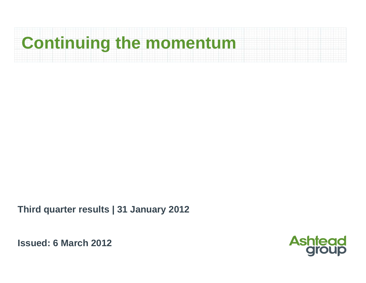# **Continuing the momentum**

**Third quarter results | 31 January 2012**

**Issued: 6 March 2012**

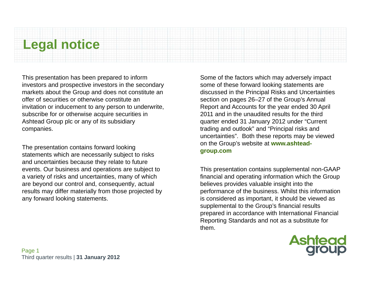### **Legal notice**

This presentation has been prepared to inform investors and prospective investors in the secondary markets about the Group and does not constitute an offer of securities or otherwise constitute an invitation or inducement to any person to underwrite, subscribe for or otherwise acquire securities in Ashtead Group plc or any of its subsidiary companies.

The presentation contains forward looking statements which are necessarily subject to risks and uncertainties because they relate to future events. Our business and operations are subject to a variety of risks and uncertainties, many of which are beyond our control and, consequently, actual results may differ materially from those projected by any forward looking statements.

Some of the factors which may adversely impact some of these forward looking statements are discussed in the Principal Risks and Uncertainties section on pages 26–27 of the Group's Annual Report and Accounts for the year ended 30 April 2011 and in the unaudited results for the third quarter ended 31 January 2012 under "Current trading and outlook" and "Principal risks and uncertainties". Both these reports may be viewed on the Group's website at **www.ashteadgroup.com**

This presentation contains supplemental non-GAAP financial and operating information which the Group believes provides valuable insight into the performance of the business. Whilst this information is considered as important, it should be viewed as supplemental to the Group's financial results prepared in accordance with International Financial Reporting Standards and not as a substitute for them.

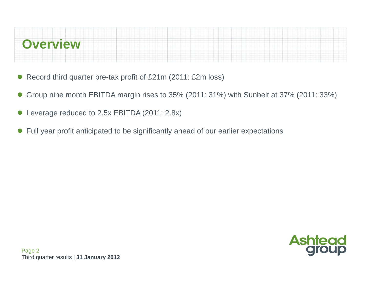# **Overview**

- $\bullet$ Record third quarter pre-tax profit of £21m (2011: £2m loss)
- $\bullet$ Group nine month EBITDA margin rises to 35% (2011: 31%) with Sunbelt at 37% (2011: 33%)
- $\bullet$ Leverage reduced to 2.5x EBITDA (2011: 2.8x)
- $\bullet$ Full year profit anticipated to be significantly ahead of our earlier expectations

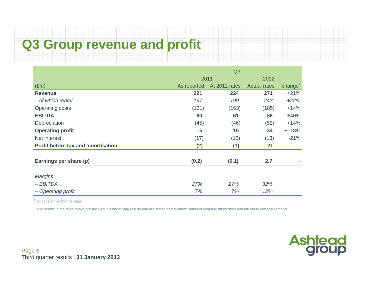## **Q3 Group revenue and profit**

|                                           | Q3          |               |                     |                     |  |
|-------------------------------------------|-------------|---------------|---------------------|---------------------|--|
|                                           | 2011        |               | 2012                |                     |  |
| E(m)                                      | As reported | At 2012 rates | <b>Actual rates</b> | change <sup>1</sup> |  |
| <b>Revenue</b>                            | 221         | 224           | 271                 | $+21%$              |  |
| - of which rental                         | 197         | 199           | 243                 | $+22%$              |  |
| <b>Operating costs</b>                    | (161)       | (163)         | (185)               | $+14%$              |  |
| <b>EBITDA</b>                             | 60          | 61            | 86                  | $+40%$              |  |
| Depreciation                              | (45)        | (46)          | (52)                | $+14%$              |  |
| <b>Operating profit</b>                   | 15          | 15            | 34                  | $+118%$             |  |
| Net interest                              | (17)        | (16)          | (13)                | $-21%$              |  |
| <b>Profit before tax and amortisation</b> | (2)         | (1)           | 21                  |                     |  |
| Earnings per share (p)                    |             |               | 2.7                 |                     |  |
|                                           | (0.2)       | (0.1)         |                     |                     |  |
| <b>Margins</b>                            |             |               |                     |                     |  |
| $-EBITDA$                                 | 27%         | 27%           | 32%                 |                     |  |
| - Operating profit                        | 7%          | 7%            | 12%                 |                     |  |

<sup>1</sup> At constant exchange rates

<sup>2</sup> The results in the table above are the Group's underlying results and are stated before amortisation of acquired intangibles and fair value remeasurements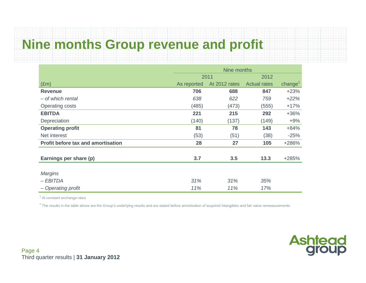### **Nine months Group revenue and profit**

|                                           |             | Nine months   |                     |                     |  |  |
|-------------------------------------------|-------------|---------------|---------------------|---------------------|--|--|
|                                           |             | 2011          | 2012                |                     |  |  |
| $(\text{Em})$                             | As reported | At 2012 rates | <b>Actual rates</b> | change <sup>1</sup> |  |  |
| <b>Revenue</b>                            | 706         | 688           | 847                 | $+23%$              |  |  |
| - of which rental                         | 638         | 622           | 759                 | $+22%$              |  |  |
| <b>Operating costs</b>                    | (485)       | (473)         | (555)               | $+17%$              |  |  |
| <b>EBITDA</b>                             | 221         | 215           | 292                 | $+36%$              |  |  |
| Depreciation                              | (140)       | (137)         | (149)               | $+9%$               |  |  |
| <b>Operating profit</b>                   | 81          | 78            | 143                 | $+84%$              |  |  |
| Net interest                              | (53)        | (51)          | (38)                | $-25%$              |  |  |
| <b>Profit before tax and amortisation</b> | 28          | 27            | 105                 | +286%               |  |  |
|                                           |             |               |                     |                     |  |  |
| Earnings per share (p)                    | 3.7         | 3.5           | 13.3                | $+285%$             |  |  |
|                                           |             |               |                     |                     |  |  |
| <b>Margins</b>                            |             |               |                     |                     |  |  |
| – EBITDA                                  | 31%         | 31%           | 35%                 |                     |  |  |
| - Operating profit                        | 11%         | 11%           | 17%                 |                     |  |  |

 $<sup>1</sup>$  At constant exchange rates</sup>

 $2$  The results in the table above are the Group's underlying results and are stated before amortisation of acquired intangibles and fair value remeasurements

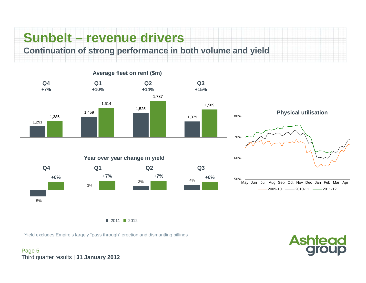## **Sunbelt – revenue drivers**

**Continuation of strong performance in both volume and yield**



■ 2011 ■ 2012

Yield excludes Empire's largely "pass through" erection and dismantling billings

Page 5 Third quarter results | **31 January 2012**

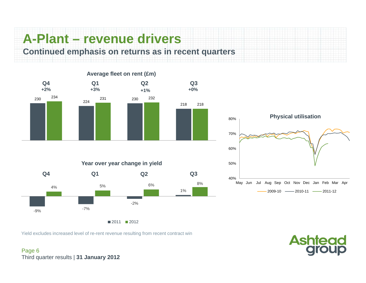### **A-Plant – revenue drivers**

**Continued emphasis on returns as in recent quarters**





**Ashtead**<br>group

Yield excludes increased level of re-rent revenue resulting from recent contract win

Page 6 Third quarter results | **31 January 2012**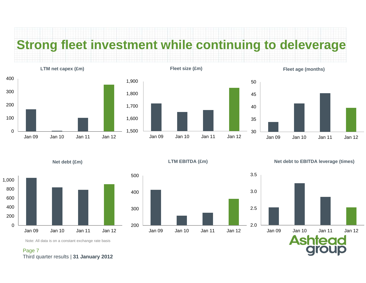### **Strong fleet investment while continuing to deleverage**



**Net debt (£m)**



**Fleet size (£m)**







### **LTM EBITDA (£m)**



**Net debt to EBITDA leverage (times)**



Note: All data is on a constant exchange rate basis

#### Page 7 Third quarter results | **31 January 2012**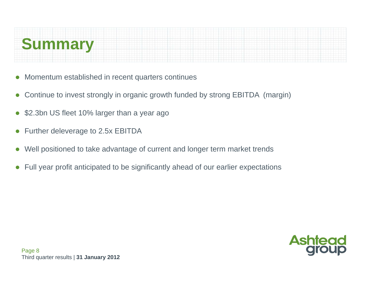# **Summary**

- $\bullet$ Momentum established in recent quarters continues
- $\bullet$ Continue to invest strongly in organic growth funded by strong EBITDA (margin)
- $\bullet$ \$2.3bn US fleet 10% larger than a year ago
- $\bullet$ Further deleverage to 2.5x EBITDA
- $\bullet$ Well positioned to take advantage of current and longer term market trends
- $\bullet$ Full year profit anticipated to be significantly ahead of our earlier expectations

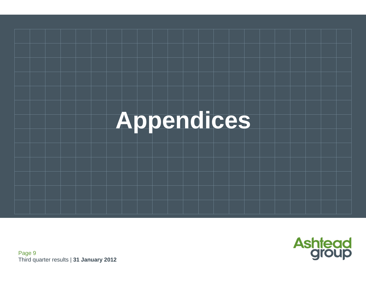



Page 9 Third quarter results | **31 January 2012**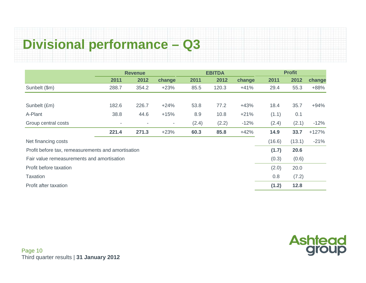### **Divisional performance – Q3**

|                                                    | <b>Revenue</b> |                          |                          | <b>EBITDA</b> |       |        | <b>Profit</b> |        |         |
|----------------------------------------------------|----------------|--------------------------|--------------------------|---------------|-------|--------|---------------|--------|---------|
|                                                    | 2011           | 2012                     | change                   | 2011          | 2012  | change | 2011          | 2012   | change  |
| Sunbelt (\$m)                                      | 288.7          | 354.2                    | $+23%$                   | 85.5          | 120.3 | $+41%$ | 29.4          | 55.3   | $+88%$  |
|                                                    |                |                          |                          |               |       |        |               |        |         |
| Sunbelt (£m)                                       | 182.6          | 226.7                    | $+24%$                   | 53.8          | 77.2  | $+43%$ | 18.4          | 35.7   | $+94%$  |
| A-Plant                                            | 38.8           | 44.6                     | $+15%$                   | 8.9           | 10.8  | $+21%$ | (1.1)         | 0.1    |         |
| Group central costs                                |                | $\overline{\phantom{a}}$ | $\overline{\phantom{a}}$ | (2.4)         | (2.2) | $-12%$ | (2.4)         | (2.1)  | $-12%$  |
|                                                    | 221.4          | 271.3                    | $+23%$                   | 60.3          | 85.8  | $+42%$ | 14.9          | 33.7   | $+127%$ |
| Net financing costs                                |                |                          |                          |               |       |        | (16.6)        | (13.1) | $-21%$  |
| Profit before tax, remeasurements and amortisation |                |                          |                          |               |       |        | (1.7)         | 20.6   |         |
| Fair value remeasurements and amortisation         |                |                          |                          |               |       |        | (0.3)         | (0.6)  |         |
| Profit before taxation                             |                |                          |                          |               |       |        | (2.0)         | 20.0   |         |
| <b>Taxation</b>                                    |                |                          |                          |               |       |        | 0.8           | (7.2)  |         |
| Profit after taxation                              |                |                          |                          |               |       |        | (1.2)         | 12.8   |         |

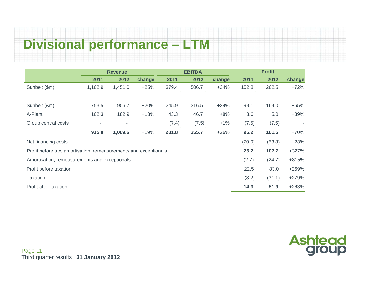### **Divisional performance – LTM**

|                                                                  |         | <b>Revenue</b> |        | <b>EBITDA</b> |       |        |        |        |         |
|------------------------------------------------------------------|---------|----------------|--------|---------------|-------|--------|--------|--------|---------|
|                                                                  | 2011    | 2012           | change | 2011          | 2012  | change | 2011   | 2012   | change  |
| Sunbelt (\$m)                                                    | 1,162.9 | 1,451.0        | $+25%$ | 379.4         | 506.7 | $+34%$ | 152.8  | 262.5  | $+72%$  |
|                                                                  |         |                |        |               |       |        |        |        |         |
| Sunbelt (£m)                                                     | 753.5   | 906.7          | $+20%$ | 245.9         | 316.5 | $+29%$ | 99.1   | 164.0  | $+65%$  |
| A-Plant                                                          | 162.3   | 182.9          | $+13%$ | 43.3          | 46.7  | $+8%$  | 3.6    | 5.0    | $+39%$  |
| Group central costs                                              | ٠       |                |        | (7.4)         | (7.5) | $+1%$  | (7.5)  | (7.5)  |         |
|                                                                  | 915.8   | 1,089.6        | $+19%$ | 281.8         | 355.7 | $+26%$ | 95.2   | 161.5  | $+70%$  |
| Net financing costs                                              |         |                |        |               |       |        | (70.0) | (53.8) | $-23%$  |
| Profit before tax, amortisation, remeasurements and exceptionals |         |                |        |               |       |        | 25.2   | 107.7  | $+327%$ |
| Amortisation, remeasurements and exceptionals                    |         |                |        |               |       |        | (2.7)  | (24.7) | +815%   |
| Profit before taxation                                           |         |                |        |               |       |        | 22.5   | 83.0   | +269%   |
| <b>Taxation</b>                                                  |         |                |        |               |       |        | (8.2)  | (31.1) | +279%   |
| Profit after taxation                                            |         |                |        |               |       |        | 14.3   | 51.9   | +263%   |

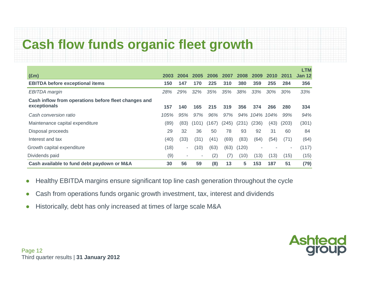### **Cash flow funds organic fleet growth**

|                                                      |      |                          |       |       |       |       |       |        |       | <b>LTM</b>    |
|------------------------------------------------------|------|--------------------------|-------|-------|-------|-------|-------|--------|-------|---------------|
| $(\text{Em})$                                        | 2003 | 2004                     | 2005  | 2006  | 2007  | 2008  | 2009  | 2010   | 2011  | <b>Jan 12</b> |
| <b>EBITDA before exceptional items</b>               | 150  | 147                      | 170   | 225   | 310   | 380   | 359   | 255    | 284   | 356           |
| <b>EBITDA</b> margin                                 | 28%  | 29%                      | 32%   | 35%   | 35%   | 38%   | 33%   | $30\%$ | 30%   | 33%           |
| Cash inflow from operations before fleet changes and |      |                          |       |       |       |       |       |        |       |               |
| exceptionals                                         | 157  | 140                      | 165   | 215   | 319   | 356   | 374   | 266    | 280   | 334           |
| Cash conversion ratio                                | 105% | 95%                      | 97%   | 96%   | 97%   | 94%   | 104%  | 104%   | 99%   | 94%           |
| Maintenance capital expenditure                      | (89) | (83)                     | (101) | (167) | (245) | (231) | (236) | (43)   | (203) | (301)         |
| Disposal proceeds                                    | 29   | 32                       | 36    | 50    | 78    | 93    | 92    | 31     | 60    | 84            |
| Interest and tax                                     | (40) | (33)                     | (31)  | (41)  | (69)  | (83)  | (64)  | (54)   | (71)  | (64)          |
| Growth capital expenditure                           | (18) | $\overline{\phantom{a}}$ | (10)  | (63)  | (63)  | (120) |       |        |       | (117)         |
| Dividends paid                                       | (9)  |                          | ۰     | (2)   | (7)   | (10)  | (13)  | (13)   | (15)  | (15)          |
| Cash available to fund debt paydown or M&A           | 30   | 56                       | 59    | (8)   | 13    | 5     | 153   | 187    | 51    | (79)          |

- $\bullet$ Healthy EBITDA margins ensure significant top line cash generation throughout the cycle
- $\bullet$ Cash from operations funds organic growth investment, tax, interest and dividends
- ●Historically, debt has only increased at times of large scale M&A

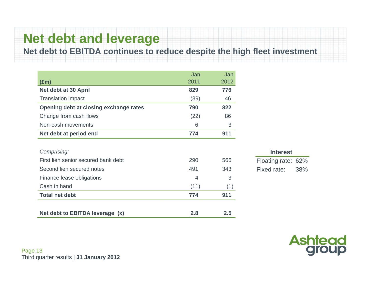### **Net debt and leverage**

### **Net debt to EBITDA continues to reduce despite the high fleet investment**

|                                        | Jan  | Jan  |
|----------------------------------------|------|------|
| $(\text{Em})$                          | 2011 | 2012 |
| Net debt at 30 April                   | 829  | 776  |
| <b>Translation impact</b>              | (39) | 46   |
| Opening debt at closing exchange rates | 790  | 822  |
| Change from cash flows                 | (22) | 86   |
| Non-cash movements                     | 6    | 3    |
| Net debt at period end                 | 774  | 911  |
|                                        |      |      |
| Comprising:                            |      |      |
| First lien senior secured bank debt    | 290  | 566  |
| Second lien secured notes              | 491  | 343  |
| Finance lease obligations              | 4    | 3    |
| Cash in hand                           | (11) | (1)  |
| <b>Total net debt</b>                  | 774  | 911  |
|                                        |      |      |
| Net debt to EBITDA leverage (x)        | 2.8  | 2.5  |

| <b>Interest</b>    |     |  |  |  |  |
|--------------------|-----|--|--|--|--|
| Floating rate: 62% |     |  |  |  |  |
| Fixed rate:        | 38% |  |  |  |  |